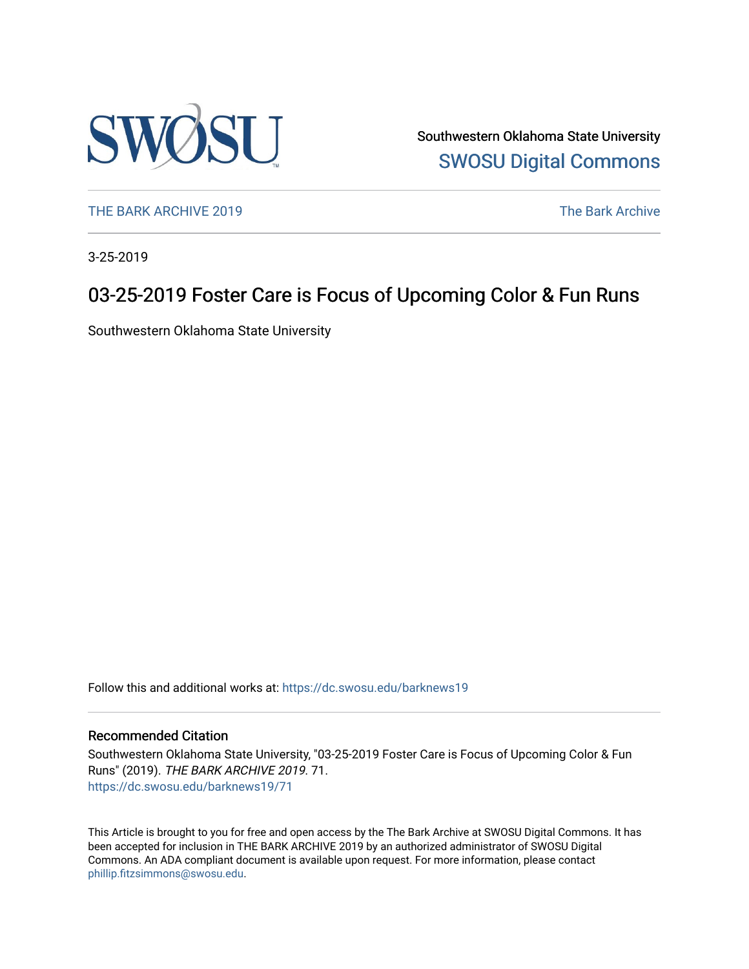

Southwestern Oklahoma State University [SWOSU Digital Commons](https://dc.swosu.edu/) 

[THE BARK ARCHIVE 2019](https://dc.swosu.edu/barknews19) The Bark Archive

3-25-2019

### 03-25-2019 Foster Care is Focus of Upcoming Color & Fun Runs

Southwestern Oklahoma State University

Follow this and additional works at: [https://dc.swosu.edu/barknews19](https://dc.swosu.edu/barknews19?utm_source=dc.swosu.edu%2Fbarknews19%2F71&utm_medium=PDF&utm_campaign=PDFCoverPages)

#### Recommended Citation

Southwestern Oklahoma State University, "03-25-2019 Foster Care is Focus of Upcoming Color & Fun Runs" (2019). THE BARK ARCHIVE 2019. 71. [https://dc.swosu.edu/barknews19/71](https://dc.swosu.edu/barknews19/71?utm_source=dc.swosu.edu%2Fbarknews19%2F71&utm_medium=PDF&utm_campaign=PDFCoverPages) 

This Article is brought to you for free and open access by the The Bark Archive at SWOSU Digital Commons. It has been accepted for inclusion in THE BARK ARCHIVE 2019 by an authorized administrator of SWOSU Digital Commons. An ADA compliant document is available upon request. For more information, please contact [phillip.fitzsimmons@swosu.edu](mailto:phillip.fitzsimmons@swosu.edu).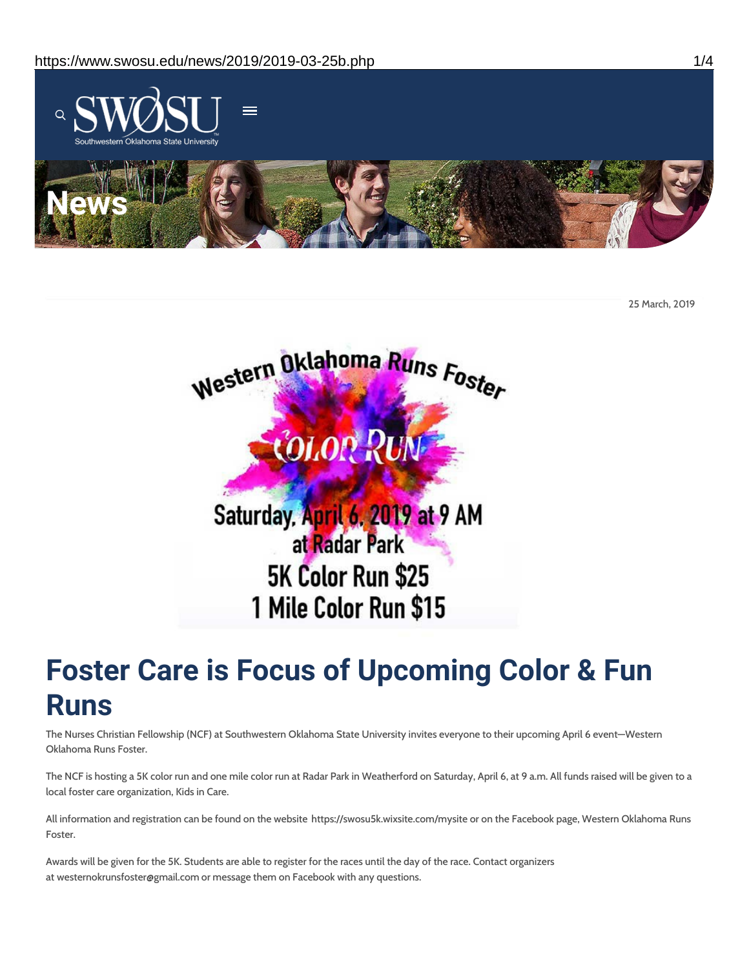

25 March, 2019



# **Foster Care is Focus of Upcoming Color & Fun Runs**

The Nurses Christian Fellowship (NCF) at Southwestern Oklahoma State University invites everyone to their upcoming April 6 event—Western Oklahoma Runs Foster.

The NCF is hosting a 5K color run and one mile color run at Radar Park in Weatherford on Saturday, April 6, at 9 a.m. All funds raised will be given to a local foster care organization, Kids in Care.

All information and registration can be found on the website https://swosu5k.wixsite.com/mysite or on the Facebook page, Western Oklahoma Runs Foster.

Awards will be given for the 5K. Students are able to register for the races until the day of the race. Contact organizers at westernokrunsfoster@gmail.com or message them on Facebook with any questions.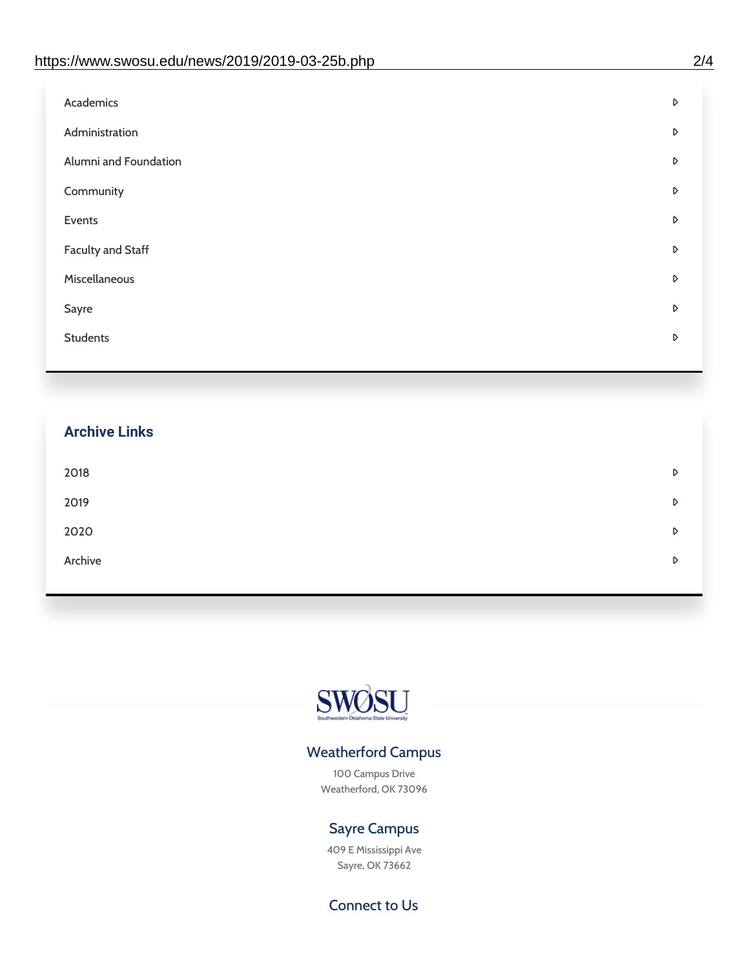| Administration<br>D<br>Alumni and Foundation<br>D<br>Community<br>D<br>Events<br>D | Academics | D |
|------------------------------------------------------------------------------------|-----------|---|
|                                                                                    |           |   |
|                                                                                    |           |   |
|                                                                                    |           |   |
|                                                                                    |           |   |
| <b>Faculty and Staff</b><br>D                                                      |           |   |
| Miscellaneous<br>D                                                                 |           |   |
| Sayre<br>D                                                                         |           |   |
| <b>Students</b><br>D                                                               |           |   |

## **Archive Links**  $2018$  $2019$ [2020](https://www.swosu.edu/news/2020/index.php)  $\bullet$ [Archive](https://dc.swosu.edu/bark/) **Archive Archive Archive Archive Archive** Archive Archive Archive Archive Archive Archive Archive Archive



### Weatherford Campus

100 Campus Drive Weatherford, OK 73096

### Sayre Campus

409 E Mississippi Ave Sayre, OK 73662

Connect to Us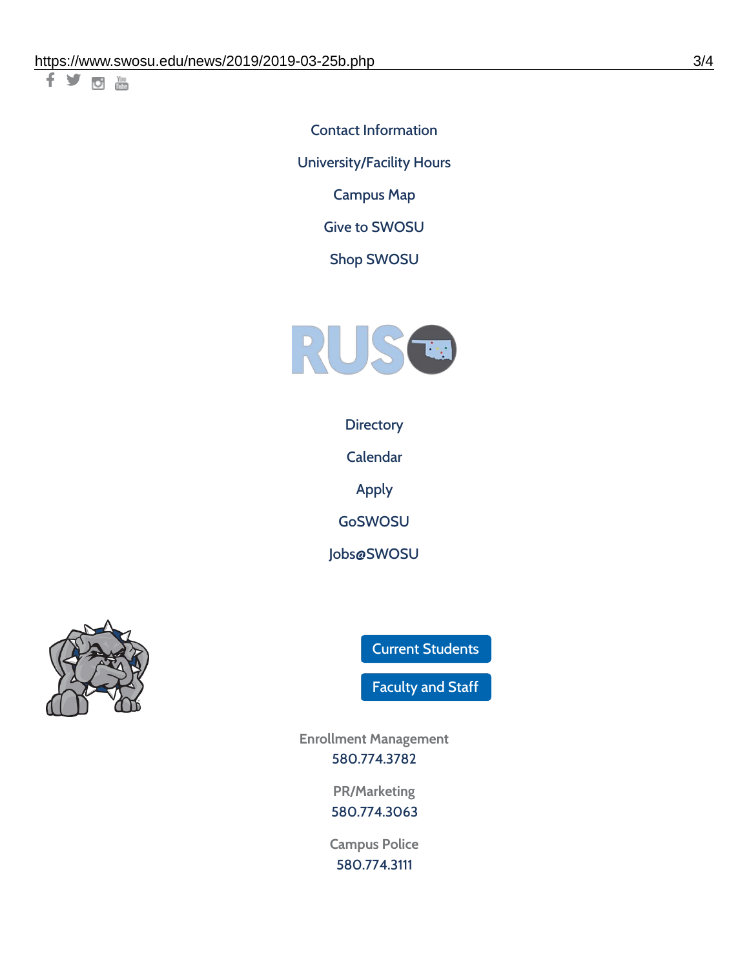千岁回调

Contact [Information](https://www.swosu.edu/about/contact.php) [University/Facility](https://www.swosu.edu/about/operating-hours.php) Hours [Campus](https://map.concept3d.com/?id=768#!ct/10964,10214,10213,10212,10205,10204,10203,10202,10136,10129,10128,0,31226,10130,10201,10641,0) Map

Give to [SWOSU](https://standingfirmly.com/donate)

Shop [SWOSU](https://shopswosu.merchorders.com/)



**[Directory](https://www.swosu.edu/directory/index.php)** 

[Calendar](https://eventpublisher.dudesolutions.com/swosu/)

[Apply](https://www.swosu.edu/admissions/apply-to-swosu.php)

[GoSWOSU](https://qlsso.quicklaunchsso.com/home/1267)

[Jobs@SWOSU](https://swosu.csod.com/ux/ats/careersite/1/home?c=swosu)



Current [Students](https://bulldog.swosu.edu/index.php)

[Faculty](https://bulldog.swosu.edu/faculty-staff/index.php) and Staff

**Enrollment Management** [580.774.3782](tel:5807743782)

> **PR/Marketing** [580.774.3063](tel:5807743063)

**Campus Police** [580.774.3111](tel:5807743111)